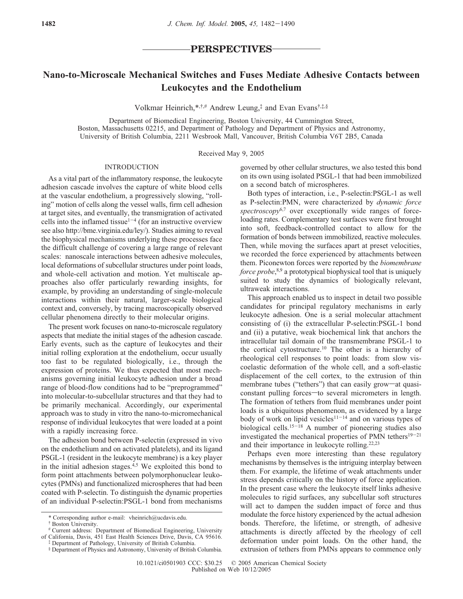# **PERSPECTIVES**

# **Nano-to-Microscale Mechanical Switches and Fuses Mediate Adhesive Contacts between Leukocytes and the Endothelium**

Volkmar Heinrich,\*,†,# Andrew Leung,‡ and Evan Evans†,‡,§

Department of Biomedical Engineering, Boston University, 44 Cummington Street, Boston, Massachusetts 02215, and Department of Pathology and Department of Physics and Astronomy, University of British Columbia, 2211 Wesbrook Mall, Vancouver, British Columbia V6T 2B5, Canada

Received May 9, 2005

### INTRODUCTION

As a vital part of the inflammatory response, the leukocyte adhesion cascade involves the capture of white blood cells at the vascular endothelium, a progressively slowing, "rolling" motion of cells along the vessel walls, firm cell adhesion at target sites, and eventually, the transmigration of activated cells into the inflamed tissue<sup> $1-4$ </sup> (for an instructive overview see also http://bme.virginia.edu/ley/). Studies aiming to reveal the biophysical mechanisms underlying these processes face the difficult challenge of covering a large range of relevant scales: nanoscale interactions between adhesive molecules, local deformations of subcellular structures under point loads, and whole-cell activation and motion. Yet multiscale approaches also offer particularly rewarding insights, for example, by providing an understanding of single-molecule interactions within their natural, larger-scale biological context and, conversely, by tracing macroscopically observed cellular phenomena directly to their molecular origins.

The present work focuses on nano-to-microscale regulatory aspects that mediate the initial stages of the adhesion cascade. Early events, such as the capture of leukocytes and their initial rolling exploration at the endothelium, occur usually too fast to be regulated biologically, i.e., through the expression of proteins. We thus expected that most mechanisms governing initial leukocyte adhesion under a broad range of blood-flow conditions had to be "preprogrammed" into molecular-to-subcellular structures and that they had to be primarily mechanical. Accordingly, our experimental approach was to study in vitro the nano-to-micromechanical response of individual leukocytes that were loaded at a point with a rapidly increasing force.

The adhesion bond between P-selectin (expressed in vivo on the endothelium and on activated platelets), and its ligand PSGL-1 (resident in the leukocyte membrane) is a key player in the initial adhesion stages. $4.5$  We exploited this bond to form point attachments between polymorphonuclear leukocytes (PMNs) and functionalized microspheres that had been coated with P-selectin. To distinguish the dynamic properties of an individual P-selectin:PSGL-1 bond from mechanisms

governed by other cellular structures, we also tested this bond on its own using isolated PSGL-1 that had been immobilized on a second batch of microspheres.

Both types of interaction, i.e., P-selectin:PSGL-1 as well as P-selectin:PMN, were characterized by *dynamic force spectroscopy*6,7 over exceptionally wide ranges of forceloading rates. Complementary test surfaces were first brought into soft, feedback-controlled contact to allow for the formation of bonds between immobilized, reactive molecules. Then, while moving the surfaces apart at preset velocities, we recorded the force experienced by attachments between them. Piconewton forces were reported by the *biomembrane force probe*, 8,9 a prototypical biophysical tool that is uniquely suited to study the dynamics of biologically relevant, ultraweak interactions.

This approach enabled us to inspect in detail two possible candidates for principal regulatory mechanisms in early leukocyte adhesion. One is a serial molecular attachment consisting of (i) the extracellular P-selectin:PSGL-1 bond and (ii) a putative, weak biochemical link that anchors the intracellular tail domain of the transmembrane PSGL-1 to the cortical cytostructure.<sup>10</sup> The other is a hierarchy of rheological cell responses to point loads: from slow viscoelastic deformation of the whole cell, and a soft-elastic displacement of the cell cortex, to the extrusion of thin membrane tubes ("tethers") that can easily grow-at quasiconstant pulling forces-to several micrometers in length. The formation of tethers from fluid membranes under point loads is a ubiquitous phenomenon, as evidenced by a large body of work on lipid vesicles<sup>11-14</sup> and on various types of biological cells.15-<sup>18</sup> A number of pioneering studies also investigated the mechanical properties of PMN tethers<sup>19-21</sup> and their importance in leukocyte rolling.22,23

Perhaps even more interesting than these regulatory mechanisms by themselves is the intriguing interplay between them. For example, the lifetime of weak attachments under stress depends critically on the history of force application. In the present case where the leukocyte itself links adhesive molecules to rigid surfaces, any subcellular soft structures will act to dampen the sudden impact of force and thus modulate the force history experienced by the actual adhesion bonds. Therefore, the lifetime, or strength, of adhesive attachments is directly affected by the rheology of cell deformation under point loads. On the other hand, the extrusion of tethers from PMNs appears to commence only

<sup>\*</sup> Corresponding author e-mail: vheinrich@ucdavis.edu.

<sup>†</sup> Boston University.

<sup>#</sup> Current address: Department of Biomedical Engineering, University of California, Davis, 451 East Health Sciences Drive, Davis, CA 95616.

<sup>‡</sup> Department of Pathology, University of British Columbia.

<sup>§</sup> Department of Physics and Astronomy, University of British Columbia.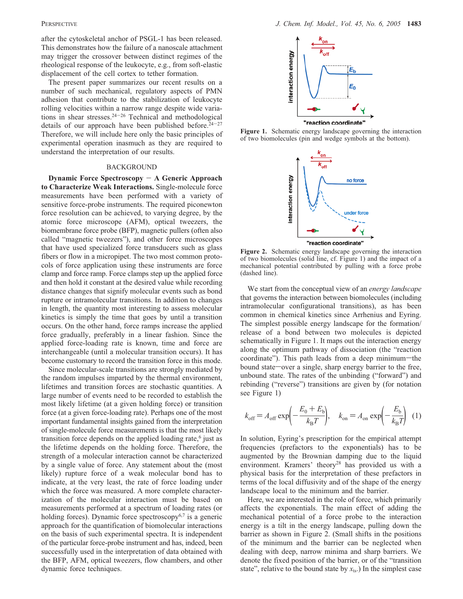after the cytoskeletal anchor of PSGL-1 has been released. This demonstrates how the failure of a nanoscale attachment may trigger the crossover between distinct regimes of the rheological response of the leukocyte, e.g., from soft-elastic displacement of the cell cortex to tether formation.

The present paper summarizes our recent results on a number of such mechanical, regulatory aspects of PMN adhesion that contribute to the stabilization of leukocyte rolling velocities within a narrow range despite wide variations in shear stresses.24-<sup>26</sup> Technical and methodological details of our approach have been published before.<sup>24-27</sup> Therefore, we will include here only the basic principles of experimental operation inasmuch as they are required to understand the interpretation of our results.

#### BACKGROUND

**Dynamic Force Spectroscopy** - **A Generic Approach to Characterize Weak Interactions.** Single-molecule force measurements have been performed with a variety of sensitive force-probe instruments. The required piconewton force resolution can be achieved, to varying degree, by the atomic force microscope (AFM), optical tweezers, the biomembrane force probe (BFP), magnetic pullers (often also called "magnetic tweezers"), and other force microscopes that have used specialized force transducers such as glass fibers or flow in a micropipet. The two most common protocols of force application using these instruments are force clamp and force ramp. Force clamps step up the applied force and then hold it constant at the desired value while recording distance changes that signify molecular events such as bond rupture or intramolecular transitions. In addition to changes in length, the quantity most interesting to assess molecular kinetics is simply the time that goes by until a transition occurs. On the other hand, force ramps increase the applied force gradually, preferably in a linear fashion. Since the applied force-loading rate is known, time and force are interchangeable (until a molecular transition occurs). It has become customary to record the transition force in this mode.

Since molecular-scale transitions are strongly mediated by the random impulses imparted by the thermal environment, lifetimes and transition forces are stochastic quantities. A large number of events need to be recorded to establish the most likely lifetime (at a given holding force) or transition force (at a given force-loading rate). Perhaps one of the most important fundamental insights gained from the interpretation of single-molecule force measurements is that the most likely transition force depends on the applied loading rate, $6$  just as the lifetime depends on the holding force. Therefore, the strength of a molecular interaction cannot be characterized by a single value of force. Any statement about the (most likely) rupture force of a weak molecular bond has to indicate, at the very least, the rate of force loading under which the force was measured. A more complete characterization of the molecular interaction must be based on measurements performed at a spectrum of loading rates (or holding forces). Dynamic force spectroscopy $6,7$  is a generic approach for the quantification of biomolecular interactions on the basis of such experimental spectra. It is independent of the particular force-probe instrument and has, indeed, been successfully used in the interpretation of data obtained with the BFP, AFM, optical tweezers, flow chambers, and other dynamic force techniques.



**Figure 1.** Schematic energy landscape governing the interaction of two biomolecules (pin and wedge symbols at the bottom).



**Figure 2.** Schematic energy landscape governing the interaction of two biomolecules (solid line, cf. Figure 1) and the impact of a mechanical potential contributed by pulling with a force probe (dashed line).

We start from the conceptual view of an *energy landscape* that governs the interaction between biomolecules (including intramolecular configurational transitions), as has been common in chemical kinetics since Arrhenius and Eyring. The simplest possible energy landscape for the formation/ release of a bond between two molecules is depicted schematically in Figure 1. It maps out the interaction energy along the optimum pathway of dissociation (the "reaction coordinate"). This path leads from a deep minimum-the bound state—over a single, sharp energy barrier to the free, unbound state. The rates of the unbinding ("forward") and rebinding ("reverse") transitions are given by (for notation see Figure 1)

$$
k_{\text{off}} = A_{\text{off}} \exp\left(-\frac{E_0 + E_{\text{b}}}{k_{\text{B}}T}\right), \quad k_{\text{on}} = A_{\text{on}} \exp\left(-\frac{E_{\text{b}}}{k_{\text{B}}T}\right) \tag{1}
$$

In solution, Eyring's prescription for the empirical attempt frequencies (prefactors to the exponentials) has to be augmented by the Brownian damping due to the liquid environment. Kramers' theory<sup>28</sup> has provided us with a physical basis for the interpretation of these prefactors in terms of the local diffusivity and of the shape of the energy landscape local to the minimum and the barrier.

Here, we are interested in the role of force, which primarily affects the exponentials. The main effect of adding the mechanical potential of a force probe to the interaction energy is a tilt in the energy landscape, pulling down the barrier as shown in Figure 2. (Small shifts in the positions of the minimum and the barrier can be neglected when dealing with deep, narrow minima and sharp barriers. We denote the fixed position of the barrier, or of the "transition state", relative to the bound state by  $x<sub>ts</sub>$ .) In the simplest case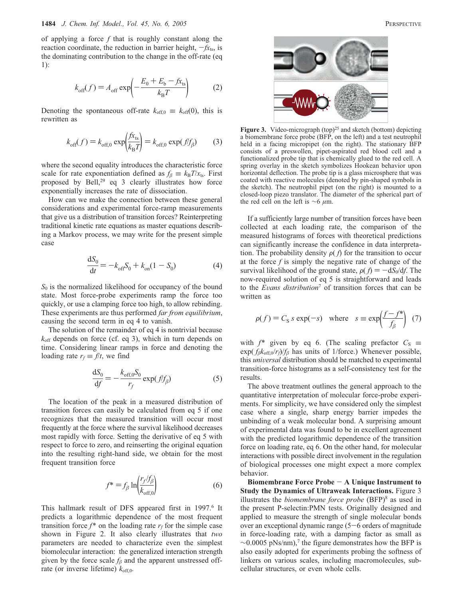of applying a force *f* that is roughly constant along the reaction coordinate, the reduction in barrier height,  $-fx_{ts}$ , is the dominating contribution to the change in the off-rate (eq 1):

$$
k_{\text{off}}(f) = A_{\text{off}} \exp\left(-\frac{E_0 + E_{\text{b}} - f_{\text{X}_{\text{ts}}}}{k_{\text{B}}T}\right) \tag{2}
$$

Denoting the spontaneous off-rate  $k_{\text{off,0}} \equiv k_{\text{off}}(0)$ , this is rewritten as

$$
k_{\text{off}}(f) = k_{\text{off},0} \exp\left(\frac{f x_{\text{ts}}}{k_{\text{B}} T}\right) = k_{\text{off},0} \exp\left(\frac{f}{f_{\beta}}\right) \tag{3}
$$

where the second equality introduces the characteristic force scale for rate exponentiation defined as  $f_\beta \equiv k_B T / x_{ts}$ . First proposed by Bell,<sup>29</sup> eq 3 clearly illustrates how force exponentially increases the rate of dissociation.

How can we make the connection between these general considerations and experimental force-ramp measurements that give us a distribution of transition forces? Reinterpreting traditional kinetic rate equations as master equations describing a Markov process, we may write for the present simple case

$$
\frac{dS_0}{dt} = -k_{off}S_0 + k_{on}(1 - S_0)
$$
\n(4)

*S*<sup>0</sup> is the normalized likelihood for occupancy of the bound state. Most force-probe experiments ramp the force too quickly, or use a clamping force too high, to allow rebinding. These experiments are thus performed *far from equilibrium*, causing the second term in eq 4 to vanish.

The solution of the remainder of eq 4 is nontrivial because *k*off depends on force (cf. eq 3), which in turn depends on time. Considering linear ramps in force and denoting the loading rate  $r_f \equiv f/t$ , we find

$$
\frac{\mathrm{d}S_0}{\mathrm{d}f} = -\frac{k_{\text{off},0}S_0}{r_f} \exp\left(\frac{f}{f_\beta}\right) \tag{5}
$$

The location of the peak in a measured distribution of transition forces can easily be calculated from eq 5 if one recognizes that the measured transition will occur most frequently at the force where the survival likelihood decreases most rapidly with force. Setting the derivative of eq 5 with respect to force to zero, and reinserting the original equation into the resulting right-hand side, we obtain for the most frequent transition force

$$
f^* = f_\beta \ln \left( \frac{r_f/f_\beta}{k_{\text{off,0}}} \right) \tag{6}
$$

This hallmark result of DFS appeared first in 1997.<sup>6</sup> It predicts a logarithmic dependence of the most frequent transition force  $f^*$  on the loading rate  $r_f$  for the simple case shown in Figure 2. It also clearly illustrates that *two* parameters are needed to characterize even the simplest biomolecular interaction: the generalized interaction strength given by the force scale  $f_\beta$  and the apparent unstressed offrate (or inverse lifetime)  $k_{\text{off,0}}$ .



Figure 3. Video-micrograph (top)<sup>25</sup> and sketch (bottom) depicting a biomembrane force probe (BFP, on the left) and a test neutrophil held in a facing micropipet (on the right). The stationary BFP consists of a preswollen, pipet-aspirated red blood cell and a functionalized probe tip that is chemically glued to the red cell. A spring overlay in the sketch symbolizes Hookean behavior upon horizontal deflection. The probe tip is a glass microsphere that was coated with reactive molecules (denoted by pin-shaped symbols in the sketch). The neutrophil pipet (on the right) is mounted to a closed-loop piezo translator. The diameter of the spherical part of the red cell on the left is  $\sim$ 6 μm.

If a sufficiently large number of transition forces have been collected at each loading rate, the comparison of the measured histograms of forces with theoretical predictions can significantly increase the confidence in data interpretation. The probability density  $\rho(f)$  for the transition to occur at the force  $f$  is simply the negative rate of change of the survival likelihood of the ground state,  $\rho(f) = -dS_0/df$ . The now-required solution of eq 5 is straightforward and leads to the *E*V*ans distribution*<sup>7</sup> of transition forces that can be written as

$$
\rho(f) = C_S s \exp(-s) \quad \text{where} \quad s \equiv \exp\left(\frac{f - f^*}{f_\beta}\right) \tag{7}
$$

with  $f^*$  given by eq 6. (The scaling prefactor  $C_S \equiv$  $\exp(f_\beta k_{\text{off},0}/r_f)/f_\beta$  has units of 1/force.) Whenever possible, this *universal* distribution should be matched to experimental transition-force histograms as a self-consistency test for the results.

The above treatment outlines the general approach to the quantitative interpretation of molecular force-probe experiments. For simplicity, we have considered only the simplest case where a single, sharp energy barrier impedes the unbinding of a weak molecular bond. A surprising amount of experimental data was found to be in excellent agreement with the predicted logarithmic dependence of the transition force on loading rate, eq 6. On the other hand, for molecular interactions with possible direct involvement in the regulation of biological processes one might expect a more complex behavior.

**Biomembrane Force Probe** - **A Unique Instrument to Study the Dynamics of Ultraweak Interactions.** Figure 3 illustrates the *biomembrane force probe* (BFP)<sup>8</sup> as used in the present P-selectin:PMN tests. Originally designed and applied to measure the strength of single molecular bonds over an exceptional dynamic range  $(5-6)$  orders of magnitude in force-loading rate, with a damping factor as small as  $\sim$ 0.0005 pNs/nm),<sup>7</sup> the figure demonstrates how the BFP is also easily adopted for experiments probing the softness of linkers on various scales, including macromolecules, subcellular structures, or even whole cells.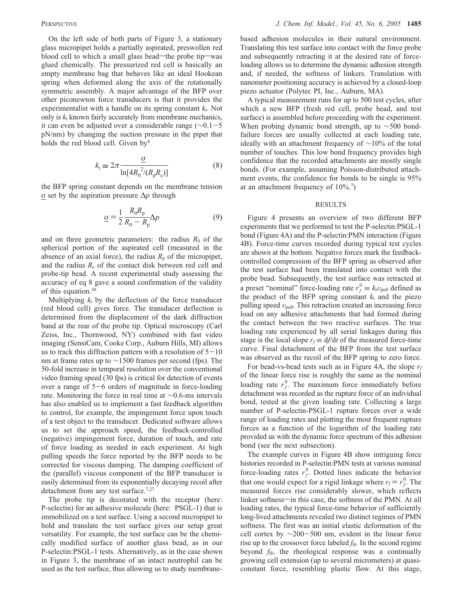On the left side of both parts of Figure 3, a stationary glass micropipet holds a partially aspirated, preswollen red blood cell to which a small glass bead—the probe tip—was glued chemically. The pressurized red cell is basically an empty membrane bag that behaves like an ideal Hookean spring when deformed along the axis of the rotationally symmetric assembly. A major advantage of the BFP over other piconewton force transducers is that it provides the experimentalist with a handle on its spring constant  $k_t$ . Not only is  $k_t$  known fairly accurately from membrane mechanics, it can even be adjusted over a considerable range (∼0.1-5 pN/nm) by changing the suction pressure in the pipet that holds the red blood cell. Given  $by<sup>8</sup>$ 

$$
k_{\rm t} \simeq 2\pi \frac{\underline{\sigma}}{\ln[4R_0^{2}/(R_{\rm p}R_{\rm c})]}\tag{8}
$$

the BFP spring constant depends on the membrane tension σ set by the aspiration pressure Δ*p* through

$$
\underline{\sigma} = \frac{1}{2} \frac{R_0 R_\text{p}}{R_0 - R_\text{p}} \Delta p \tag{9}
$$

and on three geometric parameters: the radius  $R_0$  of the spherical portion of the aspirated cell (measured in the absence of an axial force), the radius  $R_p$  of the micropipet, and the radius  $R_c$  of the contact disk between red cell and probe-tip bead. A recent experimental study assessing the accuracy of eq 8 gave a sound confirmation of the validity of this equation.30

Multiplying  $k_t$  by the deflection of the force transducer (red blood cell) gives force. The transducer deflection is determined from the displacement of the dark diffraction band at the rear of the probe tip. Optical microscopy (Carl Zeiss, Inc., Thornwood, NY) combined with fast video imaging (SensiCam, Cooke Corp., Auburn Hills, MI) allows us to track this diffraction pattern with a resolution of  $5-10$ nm at frame rates up to  $\sim$ 1500 frames per second (fps). The 50-fold increase in temporal resolution over the conventional video framing speed (30 fps) is critical for detection of events over a range of  $5-6$  orders of magnitude in force-loading rate. Monitoring the force in real time at ∼0.6-ms intervals has also enabled us to implement a fast feedback algorithm to control, for example, the impingement force upon touch of a test object to the transducer. Dedicated software allows us to set the approach speed, the feedback-controlled (negative) impingement force, duration of touch, and rate of force loading as needed in each experiment. At high pulling speeds the force reported by the BFP needs to be corrected for viscous damping. The damping coefficient of the (parallel) viscous component of the BFP transducer is easily determined from its exponentially decaying recoil after detachment from any test surface.<sup>7,27</sup>

The probe tip is decorated with the receptor (here: P-selectin) for an adhesive molecule (here: PSGL-1) that is immobilized on a test surface. Using a second micropipet to hold and translate the test surface gives our setup great versatility. For example, the test surface can be the chemically modified surface of another glass bead, as in our P-selectin:PSGL-1 tests. Alternatively, as in the case shown in Figure 3, the membrane of an intact neutrophil can be used as the test surface, thus allowing us to study membranebased adhesion molecules in their natural environment. Translating this test surface into contact with the force probe and subsequently retracting it at the desired rate of forceloading allows us to determine the dynamic adhesion strength and, if needed, the softness of linkers. Translation with nanometer positioning accuracy is achieved by a closed-loop piezo actuator (Polytec PI, Inc., Auburn, MA).

A typical measurement runs for up to 500 test cycles, after which a new BFP (fresh red cell, probe bead, and test surface) is assembled before proceeding with the experiment. When probing dynamic bond strength, up to ∼500 bondfailure forces are usually collected at each loading rate, ideally with an attachment frequency of ∼10% of the total number of touches. This low bond frequency provides high confidence that the recorded attachments are mostly single bonds. (For example, assuming Poisson-distributed attachment events, the confidence for bonds to be single is 95% at an attachment frequency of  $10\%$ .<sup>7</sup>)

## RESULTS

Figure 4 presents an overview of two different BFP experiments that we performed to test the P-selectin:PSGL-1 bond (Figure 4A) and the P-selectin:PMN interaction (Figure 4B). Force-time curves recorded during typical test cycles are shown at the bottom. Negative forces mark the feedbackcontrolled compression of the BFP spring as observed after the test surface had been translated into contact with the probe bead. Subsequently, the test surface was retracted at a preset "nominal" force-loading rate  $r_f^0 \equiv k_t v_{\text{pull}}$  defined as the product of the BFP spring constant  $k_t$  and the piezo pulling speed  $v_{\text{null}}$ . This retraction created an increasing force load on any adhesive attachments that had formed during the contact between the two reactive surfaces. The true loading rate experienced by all serial linkages during this stage is the local slope  $r_f \equiv df/dt$  of the measured force-time curve. Final detachment of the BFP from the test surface was observed as the recoil of the BFP spring to zero force.

For bead-vs-bead tests such as in Figure 4A, the slope *rf* of the linear force rise is roughly the same as the nominal loading rate  $r_f^0$ . The maximum force immediately before detachment was recorded as the rupture force of an individual bond, tested at the given loading rate. Collecting a large number of P-selectin-PSGL-1 rupture forces over a wide range of loading rates and plotting the most frequent rupture forces as a function of the logarithm of the loading rate provided us with the dynamic force spectrum of this adhesion bond (see the next subsection).

The example curves in Figure 4B show intriguing force histories recorded in P-selectin:PMN tests at various nominal force-loading rates  $r_f^0$ . Dotted lines indicate the behavior that one would expect for a rigid linkage where  $r_f = r_f^0$ . The measured forces rise considerably slower, which reflects linker softness-in this case, the softness of the PMN. At all loading rates, the typical force-time behavior of sufficiently long-lived attachments revealed two distinct regimes of PMN softness. The first was an initial elastic deformation of the cell cortex by  $\sim$ 200-500 nm, evident in the linear force rise up to the crossover force labeled  $f_{\otimes}$ . In the second regime beyond  $f_{\otimes}$ , the rheological response was a continually growing cell extension (up to several micrometers) at quasiconstant force, resembling plastic flow. At this stage,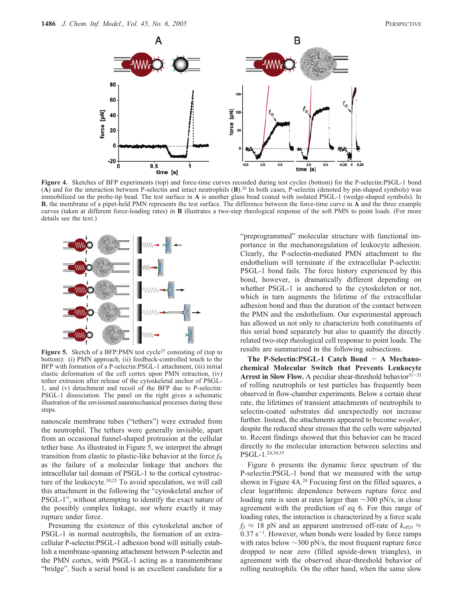

**Figure 4.** Sketches of BFP experiments (top) and force-time curves recorded during test cycles (bottom) for the P-selectin:PSGL-1 bond (**A**) and for the interaction between P-selectin and intact neutrophils (**B**).26 In both cases, P-selectin (denoted by pin-shaped symbols) was immobilized on the probe-tip bead. The test surface in **A** is another glass bead coated with isolated PSGL-1 (wedge-shaped symbols). In **B**, the membrane of a pipet-held PMN represents the test surface. The difference between the force-time curve in **A** and the three example curves (taken at different force-loading rates) in **B** illustrates a two-step rheological response of the soft PMN to point loads. (For more details see the text.)



Figure 5. Sketch of a BFP:PMN test cycle<sup>25</sup> consisting of (top to bottom): (i) PMN approach, (ii) feedback-controlled touch to the BFP with formation of a P-selectin:PSGL-1 attachment, (iii) initial elastic deformation of the cell cortex upon PMN retraction, (iv) tether extrusion after release of the cytoskeletal anchor of PSGL-1, and (v) detachment and recoil of the BFP due to P-selectin: PSGL-1 dissociation. The panel on the right gives a schematic illustration of the envisioned nanomechanical processes during these steps.

nanoscale membrane tubes ("tethers") were extruded from the neutrophil. The tethers were generally invisible, apart from an occasional funnel-shaped protrusion at the cellular tether base. As illustrated in Figure 5, we interpret the abrupt transition from elastic to plastic-like behavior at the force  $f_{\otimes}$ as the failure of a molecular linkage that anchors the intracellular tail domain of PSGL-1 to the cortical cytostructure of the leukocyte.<sup>10,25</sup> To avoid speculation, we will call this attachment in the following the "cytoskeletal anchor of PSGL-1", without attempting to identify the exact nature of the possibly complex linkage, nor where exactly it may rupture under force.

Presuming the existence of this cytoskeletal anchor of PSGL-1 in normal neutrophils, the formation of an extracellular P-selectin:PSGL-1 adhesion bond will initially establish a membrane-spanning attachment between P-selectin and the PMN cortex, with PSGL-1 acting as a transmembrane "bridge". Such a serial bond is an excellent candidate for a

"preprogrammed" molecular structure with functional importance in the mechanoregulation of leukocyte adhesion. Clearly, the P-selectin-mediated PMN attachment to the endothelium will terminate if the extracellular P-selectin: PSGL-1 bond fails. The force history experienced by this bond, however, is dramatically different depending on whether PSGL-1 is anchored to the cytoskeleton or not, which in turn augments the lifetime of the extracellular adhesion bond and thus the duration of the contact between the PMN and the endothelium. Our experimental approach has allowed us not only to characterize both constituents of this serial bond separately but also to quantify the directly related two-step rheological cell response to point loads. The results are summarized in the following subsections.

**The P-Selectin:PSGL-1 Catch Bond** - **A Mechanochemical Molecular Switch that Prevents Leukocyte** Arrest in Slow Flow. A peculiar shear-threshold behavior<sup>31-33</sup> of rolling neutrophils or test particles has frequently been observed in flow-chamber experiments. Below a certain shear rate, the lifetimes of transient attachments of neutrophils to selectin-coated substrates did unexpectedly not increase further. Instead, the attachments appeared to become *weaker*, despite the reduced shear stresses that the cells were subjected to. Recent findings showed that this behavior can be traced directly to the molecular interaction between selectins and PSGL-1.24,34,35

Figure 6 presents the dynamic force spectrum of the P-selectin:PSGL-1 bond that we measured with the setup shown in Figure 4A.<sup>24</sup> Focusing first on the filled squares, a clear logarithmic dependence between rupture force and loading rate is seen at rates larger than ∼300 pN/s, in close agreement with the prediction of eq 6. For this range of loading rates, the interaction is characterized by a force scale  $f_\beta \approx 18$  pN and an apparent unstressed off-rate of  $k_{\text{off,0}} \approx$  $0.37 \text{ s}^{-1}$ . However, when bonds were loaded by force ramps with rates below ∼300 pN/s, the most frequent rupture force dropped to near zero (filled upside-down triangles), in agreement with the observed shear-threshold behavior of rolling neutrophils. On the other hand, when the same slow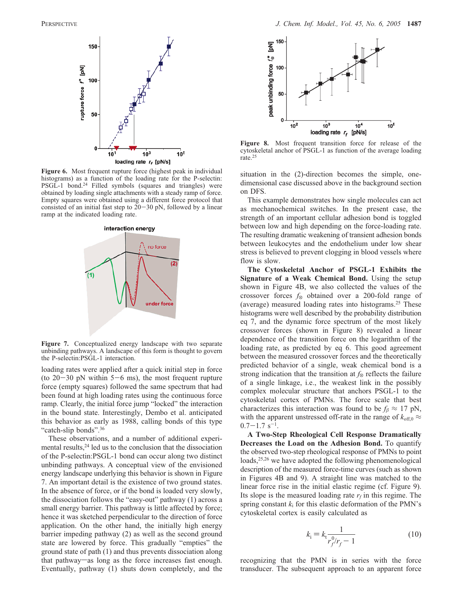

**Figure 6.** Most frequent rupture force (highest peak in individual histograms) as a function of the loading rate for the P-selectin: PSGL-1 bond.<sup>24</sup> Filled symbols (squares and triangles) were obtained by loading single attachments with a steady ramp of force. Empty squares were obtained using a different force protocol that consisted of an initial fast step to  $20-30$  pN, followed by a linear ramp at the indicated loading rate.



**Figure 7.** Conceptualized energy landscape with two separate unbinding pathways. A landscape of this form is thought to govern the P-selectin:PSGL-1 interaction.

loading rates were applied after a quick initial step in force (to  $20-30$  pN within  $5-6$  ms), the most frequent rupture force (empty squares) followed the same spectrum that had been found at high loading rates using the continuous force ramp. Clearly, the initial force jump "locked" the interaction in the bound state. Interestingly, Dembo et al. anticipated this behavior as early as 1988, calling bonds of this type "catch-slip bonds".<sup>36</sup>

These observations, and a number of additional experimental results,<sup>24</sup> led us to the conclusion that the dissociation of the P-selectin:PSGL-1 bond can occur along two distinct unbinding pathways. A conceptual view of the envisioned energy landscape underlying this behavior is shown in Figure 7. An important detail is the existence of two ground states. In the absence of force, or if the bond is loaded very slowly, the dissociation follows the "easy-out" pathway (1) across a small energy barrier. This pathway is little affected by force; hence it was sketched perpendicular to the direction of force application. On the other hand, the initially high energy barrier impeding pathway (2) as well as the second ground state are lowered by force. This gradually "empties" the ground state of path (1) and thus prevents dissociation along that pathway-as long as the force increases fast enough. Eventually, pathway (1) shuts down completely, and the



**Figure 8.** Most frequent transition force for release of the cytoskeletal anchor of PSGL-1 as function of the average loading rate.25

situation in the (2)-direction becomes the simple, onedimensional case discussed above in the background section on DFS.

This example demonstrates how single molecules can act as mechanochemical switches. In the present case, the strength of an important cellular adhesion bond is toggled between low and high depending on the force-loading rate. The resulting dramatic weakening of transient adhesion bonds between leukocytes and the endothelium under low shear stress is believed to prevent clogging in blood vessels where flow is slow.

**The Cytoskeletal Anchor of PSGL-1 Exhibits the Signature of a Weak Chemical Bond.** Using the setup shown in Figure 4B, we also collected the values of the crossover forces  $f_{\otimes}$  obtained over a 200-fold range of (average) measured loading rates into histograms.25 These histograms were well described by the probability distribution eq 7, and the dynamic force spectrum of the most likely crossover forces (shown in Figure 8) revealed a linear dependence of the transition force on the logarithm of the loading rate, as predicted by eq 6. This good agreement between the measured crossover forces and the theoretically predicted behavior of a single, weak chemical bond is a strong indication that the transition at  $f_{\otimes}$  reflects the failure of a single linkage, i.e., the weakest link in the possibly complex molecular structure that anchors PSGL-1 to the cytoskeletal cortex of PMNs. The force scale that best characterizes this interaction was found to be  $f_\beta \approx 17$  pN, with the apparent unstressed off-rate in the range of  $k_{\text{off,0}} \approx$  $0.7-1.7$  s<sup>-1</sup>.

**A Two-Step Rheological Cell Response Dramatically Decreases the Load on the Adhesion Bond.** To quantify the observed two-step rheological response of PMNs to point loads,<sup>25,26</sup> we have adopted the following phenomenological description of the measured force-time curves (such as shown in Figures 4B and 9). A straight line was matched to the linear force rise in the initial elastic regime (cf. Figure 9). Its slope is the measured loading rate  $r_f$  in this regime. The spring constant  $k_i$  for this elastic deformation of the PMN's cytoskeletal cortex is easily calculated as

$$
k_{\rm i} = k_{\rm t} \frac{1}{r_{\rm f}^0/r_{\rm f} - 1} \tag{10}
$$

recognizing that the PMN is in series with the force transducer. The subsequent approach to an apparent force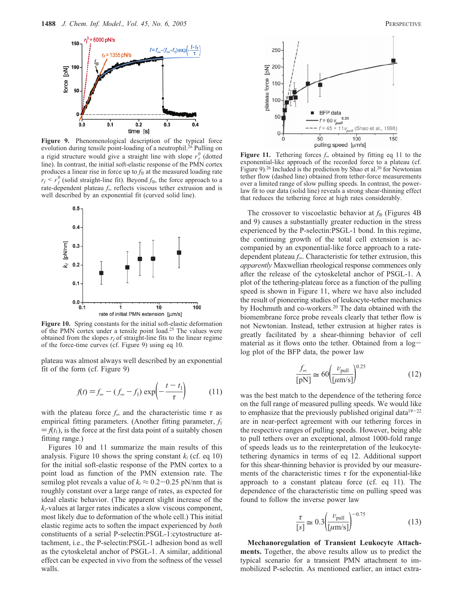

**Figure 9.** Phenomenological description of the typical force evolution during tensile point-loading of a neutrophil.<sup>26</sup> Pulling on a rigid structure would give a straight line with slope  $r_f^0$  (dotted line). In contrast, the initial soft-elastic response of the PMN cortex produces a linear rise in force up to  $f_{\otimes}$  at the measured loading rate  $r_f \le r_f^0$  (solid straight-line fit). Beyond  $f_{\otimes}$ , the force approach to a rate-dependent plateau *f*<sup>∞</sup> reflects viscous tether extrusion and is well described by an exponential fit (curved solid line).



**Figure 10.** Spring constants for the initial soft-elastic deformation of the PMN cortex under a tensile point load.<sup>25</sup> The values were obtained from the slopes  $r_f$  of straight-line fits to the linear regime of the force-time curves (cf. Figure 9) using eq 10.

plateau was almost always well described by an exponential fit of the form (cf. Figure 9)

$$
f(t) = f_{\infty} - (f_{\infty} - f_1) \exp\left(-\frac{t - t_1}{\tau}\right) \tag{11}
$$

with the plateau force  $f_{\infty}$  and the characteristic time  $\tau$  as empirical fitting parameters. (Another fitting parameter, *f*<sup>1</sup>  $= f(t_1)$ , is the force at the first data point of a suitably chosen fitting range.)

Figures 10 and 11 summarize the main results of this analysis. Figure 10 shows the spring constant  $k_i$  (cf. eq 10) for the initial soft-elastic response of the PMN cortex to a point load as function of the PMN extension rate. The semilog plot reveals a value of  $k_i \approx 0.2 - 0.25$  pN/nm that is roughly constant over a large range of rates, as expected for ideal elastic behavior. (The apparent slight increase of the *ki*-values at larger rates indicates a slow viscous component, most likely due to deformation of the whole cell.) This initial elastic regime acts to soften the impact experienced by *both* constituents of a serial P-selectin:PSGL-1:cytostructure attachment, i.e., the P-selectin:PSGL-1 adhesion bond as well as the cytoskeletal anchor of PSGL-1. A similar, additional effect can be expected in vivo from the softness of the vessel walls.



**Figure 11.** Tethering forces *f*<sup>∞</sup> obtained by fitting eq 11 to the exponential-like approach of the recorded force to a plateau (cf. Figure 9).<sup>26</sup> Included is the prediction by Shao et al.<sup>20</sup> for Newtonian tether flow (dashed line) obtained from tether-force measurements over a limited range of slow pulling speeds. In contrast, the powerlaw fit to our data (solid line) reveals a strong shear-thinning effect that reduces the tethering force at high rates considerably.

The crossover to viscoelastic behavior at  $f_{\otimes}$  (Figures 4B) and 9) causes a substantially greater reduction in the stress experienced by the P-selectin:PSGL-1 bond. In this regime, the continuing growth of the total cell extension is accompanied by an exponential-like force approach to a ratedependent plateau *f*∞. Characteristic for tether extrusion, this *apparently* Maxwellian rheological response commences only after the release of the cytoskeletal anchor of PSGL-1. A plot of the tethering-plateau force as a function of the pulling speed is shown in Figure 11, where we have also included the result of pioneering studies of leukocyte-tether mechanics by Hochmuth and co-workers.<sup>20</sup> The data obtained with the biomembrane force probe reveals clearly that tether flow is not Newtonian. Instead, tether extrusion at higher rates is greatly facilitated by a shear-thinning behavior of cell material as it flows onto the tether. Obtained from a  $log$ log plot of the BFP data, the power law

$$
\frac{f_{\infty}}{[pN]} \cong 60 \left(\frac{\nu_{\text{pull}}}{[\mu m/s]}\right)^{0.25} \tag{12}
$$

was the best match to the dependence of the tethering force on the full range of measured pulling speeds. We would like to emphasize that the previously published original data<sup>19-22</sup> are in near-perfect agreement with our tethering forces in the respective ranges of pulling speeds. However, being able to pull tethers over an exceptional, almost 1000-fold range of speeds leads us to the reinterpretation of the leukocytetethering dynamics in terms of eq 12. Additional support for this shear-thinning behavior is provided by our measurements of the characteristic times  $\tau$  for the exponential-like approach to a constant plateau force (cf. eq 11). The dependence of the characteristic time on pulling speed was found to follow the inverse power law

$$
\frac{\tau}{[s]} \approx 0.3 \left(\frac{v_{\text{pull}}}{\left[\mu \text{m/s}\right]}\right)^{-0.75} \tag{13}
$$

**Mechanoregulation of Transient Leukocyte Attachments.** Together, the above results allow us to predict the typical scenario for a transient PMN attachment to immobilized P-selectin. As mentioned earlier, an intact extra-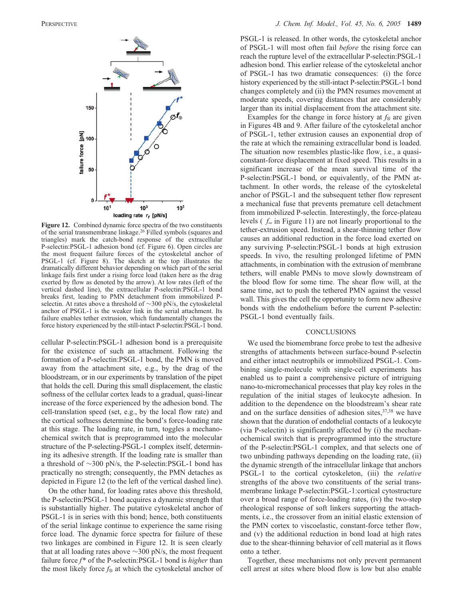

**Figure 12.** Combined dynamic force spectra of the two constituents of the serial transmembrane linkage.<sup>26</sup> Filled symbols (squares and triangles) mark the catch-bond response of the extracellular P-selectin:PSGL-1 adhesion bond (cf. Figure 6). Open circles are the most frequent failure forces of the cytoskeletal anchor of PSGL-1 (cf. Figure 8). The sketch at the top illustrates the dramatically different behavior depending on which part of the serial linkage fails first under a rising force load (taken here as the drag exerted by flow as denoted by the arrow). At low rates (left of the vertical dashed line), the extracellular P-selectin:PSGL-1 bond breaks first, leading to PMN detachment from immobilized Pselectin. At rates above a threshold of ∼300 pN/s, the cytoskeletal anchor of PSGL-1 is the weaker link in the serial attachment. Its failure enables tether extrusion, which fundamentally changes the force history experienced by the still-intact P-selectin:PSGL-1 bond.

cellular P-selectin:PSGL-1 adhesion bond is a prerequisite for the existence of such an attachment. Following the formation of a P-selectin:PSGL-1 bond, the PMN is moved away from the attachment site, e.g., by the drag of the bloodstream, or in our experiments by translation of the pipet that holds the cell. During this small displacement, the elastic softness of the cellular cortex leads to a gradual, quasi-linear increase of the force experienced by the adhesion bond. The cell-translation speed (set, e.g., by the local flow rate) and the cortical softness determine the bond's force-loading rate at this stage. The loading rate, in turn, toggles a mechanochemical switch that is preprogrammed into the molecular structure of the P-selecting-PSGL-1 complex itself, determining its adhesive strength. If the loading rate is smaller than a threshold of ∼300 pN/s, the P-selectin:PSGL-1 bond has practically no strength; consequently, the PMN detaches as depicted in Figure 12 (to the left of the vertical dashed line).

On the other hand, for loading rates above this threshold, the P-selectin:PSGL-1 bond acquires a dynamic strength that is substantially higher. The putative cytoskeletal anchor of PSGL-1 is in series with this bond; hence, both constituents of the serial linkage continue to experience the same rising force load. The dynamic force spectra for failure of these two linkages are combined in Figure 12. It is seen clearly that at all loading rates above  $\sim$ 300 pN/s, the most frequent failure force *f*\* of the P-selectin:PSGL-1 bond is *higher* than the most likely force  $f_{\otimes}$  at which the cytoskeletal anchor of

PSGL-1 is released. In other words, the cytoskeletal anchor of PSGL-1 will most often fail *before* the rising force can reach the rupture level of the extracellular P-selectin:PSGL-1 adhesion bond. This earlier release of the cytoskeletal anchor of PSGL-1 has two dramatic consequences: (i) the force history experienced by the still-intact P-selectin:PSGL-1 bond changes completely and (ii) the PMN resumes movement at moderate speeds, covering distances that are considerably larger than its initial displacement from the attachment site.

Examples for the change in force history at  $f_{\otimes}$  are given in Figures 4B and 9. After failure of the cytoskeletal anchor of PSGL-1, tether extrusion causes an exponential drop of the rate at which the remaining extracellular bond is loaded. The situation now resembles plastic-like flow, i.e., a quasiconstant-force displacement at fixed speed. This results in a significant increase of the mean survival time of the P-selectin:PSGL-1 bond, or equivalently, of the PMN attachment. In other words, the release of the cytoskeletal anchor of PSGL-1 and the subsequent tether flow represent a mechanical fuse that prevents premature cell detachment from immobilized P-selectin. Interestingly, the force-plateau levels ( *f*<sup>∞</sup> in Figure 11) are not linearly proportional to the tether-extrusion speed. Instead, a shear-thinning tether flow causes an additional reduction in the force load exerted on any surviving P-selectin:PSGL-1 bonds at high extrusion speeds. In vivo, the resulting prolonged lifetime of PMN attachments, in combination with the extrusion of membrane tethers, will enable PMNs to move slowly downstream of the blood flow for some time. The shear flow will, at the same time, act to push the tethered PMN against the vessel wall. This gives the cell the opportunity to form new adhesive bonds with the endothelium before the current P-selectin: PSGL-1 bond eventually fails.

#### **CONCLUSIONS**

We used the biomembrane force probe to test the adhesive strengths of attachments between surface-bound P-selectin and either intact neutrophils or immobilized PSGL-1. Combining single-molecule with single-cell experiments has enabled us to paint a comprehensive picture of intriguing nano-to-micromechanical processes that play key roles in the regulation of the initial stages of leukocyte adhesion. In addition to the dependence on the bloodstream's shear rate and on the surface densities of adhesion sites,<sup>37,38</sup> we have shown that the duration of endothelial contacts of a leukocyte (via P-selectin) is significantly affected by (i) the mechanochemical switch that is preprogrammed into the structure of the P-selectin:PSGL-1 complex, and that selects one of two unbinding pathways depending on the loading rate, (ii) the dynamic strength of the intracellular linkage that anchors PSGL-1 to the cortical cytoskeleton, (iii) the *relative* strengths of the above two constituents of the serial transmembrane linkage P-selectin:PSGL-1:cortical cytostructure over a broad range of force-loading rates, (iv) the two-step rheological response of soft linkers supporting the attachments, i.e., the crossover from an initial elastic extension of the PMN cortex to viscoelastic, constant-force tether flow, and (v) the additional reduction in bond load at high rates due to the shear-thinning behavior of cell material as it flows onto a tether.

Together, these mechanisms not only prevent permanent cell arrest at sites where blood flow is low but also enable